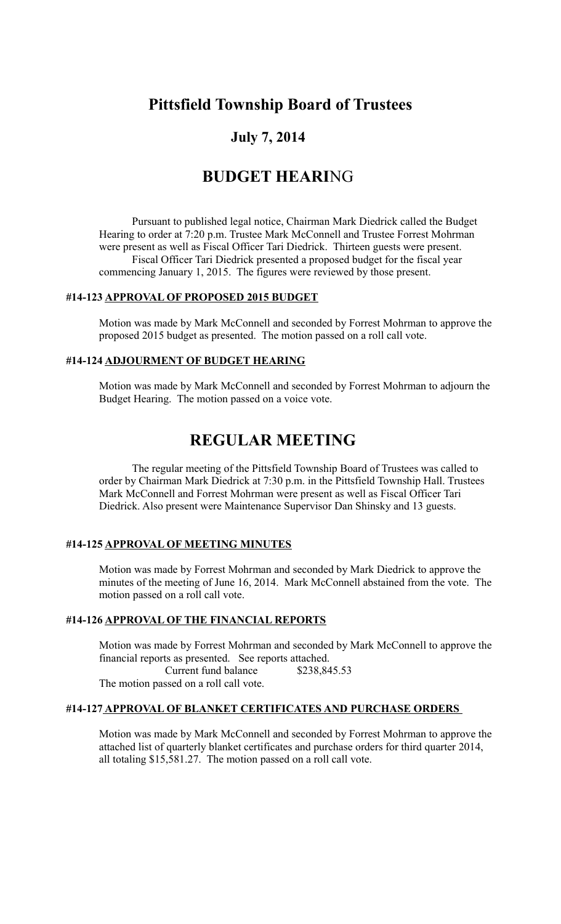# **Pittsfield Township Board of Trustees**

## **July 7, 2014**

# **BUDGET HEARI**NG

Pursuant to published legal notice, Chairman Mark Diedrick called the Budget Hearing to order at 7:20 p.m. Trustee Mark McConnell and Trustee Forrest Mohrman were present as well as Fiscal Officer Tari Diedrick. Thirteen guests were present. Fiscal Officer Tari Diedrick presented a proposed budget for the fiscal year commencing January 1, 2015. The figures were reviewed by those present.

#### **#14-123 APPROVAL OF PROPOSED 2015 BUDGET**

Motion was made by Mark McConnell and seconded by Forrest Mohrman to approve the proposed 2015 budget as presented. The motion passed on a roll call vote.

## **#14-124 ADJOURMENT OF BUDGET HEARING**

Motion was made by Mark McConnell and seconded by Forrest Mohrman to adjourn the Budget Hearing. The motion passed on a voice vote.

## **REGULAR MEETING**

The regular meeting of the Pittsfield Township Board of Trustees was called to order by Chairman Mark Diedrick at 7:30 p.m. in the Pittsfield Township Hall. Trustees Mark McConnell and Forrest Mohrman were present as well as Fiscal Officer Tari Diedrick. Also present were Maintenance Supervisor Dan Shinsky and 13 guests.

## **#14-125 APPROVAL OF MEETING MINUTES**

Motion was made by Forrest Mohrman and seconded by Mark Diedrick to approve the minutes of the meeting of June 16, 2014. Mark McConnell abstained from the vote. The motion passed on a roll call vote.

## **#14-126 APPROVAL OF THE FINANCIAL REPORTS**

Motion was made by Forrest Mohrman and seconded by Mark McConnell to approve the financial reports as presented. See reports attached. Current fund balance \$238,845.53 The motion passed on a roll call vote.

## **#14-127 APPROVAL OF BLANKET CERTIFICATES AND PURCHASE ORDERS**

Motion was made by Mark McConnell and seconded by Forrest Mohrman to approve the attached list of quarterly blanket certificates and purchase orders for third quarter 2014, all totaling \$15,581.27. The motion passed on a roll call vote.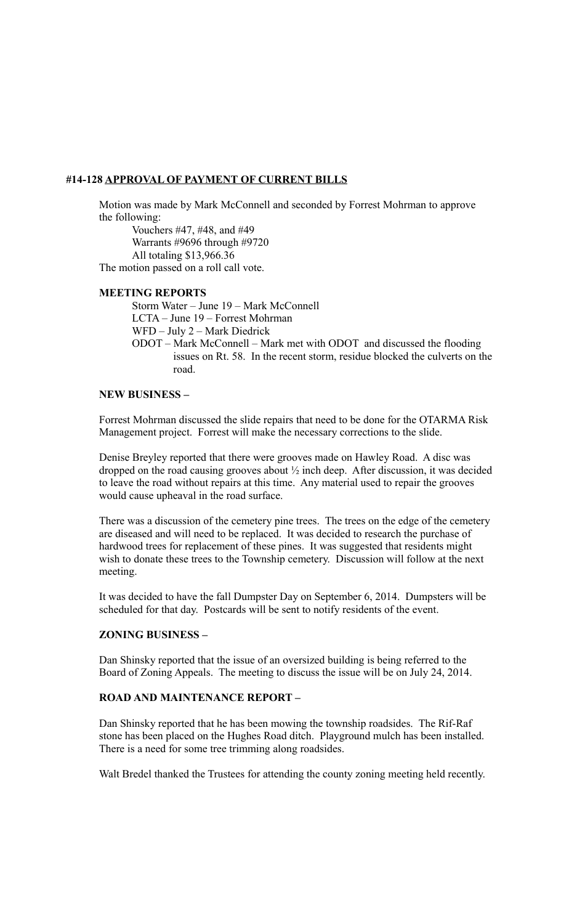## **#14-128 APPROVAL OF PAYMENT OF CURRENT BILLS**

Motion was made by Mark McConnell and seconded by Forrest Mohrman to approve the following:

Vouchers #47, #48, and #49 Warrants #9696 through #9720 All totaling \$13,966.36 The motion passed on a roll call vote.

## **MEETING REPORTS**

Storm Water – June 19 – Mark McConnell LCTA – June 19 – Forrest Mohrman WFD – July 2 – Mark Diedrick ODOT – Mark McConnell – Mark met with ODOT and discussed the flooding issues on Rt. 58. In the recent storm, residue blocked the culverts on the road.

#### **NEW BUSINESS –**

Forrest Mohrman discussed the slide repairs that need to be done for the OTARMA Risk Management project. Forrest will make the necessary corrections to the slide.

Denise Breyley reported that there were grooves made on Hawley Road. A disc was dropped on the road causing grooves about ½ inch deep. After discussion, it was decided to leave the road without repairs at this time. Any material used to repair the grooves would cause upheaval in the road surface.

There was a discussion of the cemetery pine trees. The trees on the edge of the cemetery are diseased and will need to be replaced. It was decided to research the purchase of hardwood trees for replacement of these pines. It was suggested that residents might wish to donate these trees to the Township cemetery. Discussion will follow at the next meeting.

It was decided to have the fall Dumpster Day on September 6, 2014. Dumpsters will be scheduled for that day. Postcards will be sent to notify residents of the event.

## **ZONING BUSINESS –**

Dan Shinsky reported that the issue of an oversized building is being referred to the Board of Zoning Appeals. The meeting to discuss the issue will be on July 24, 2014.

#### **ROAD AND MAINTENANCE REPORT –**

Dan Shinsky reported that he has been mowing the township roadsides. The Rif-Raf stone has been placed on the Hughes Road ditch. Playground mulch has been installed. There is a need for some tree trimming along roadsides.

Walt Bredel thanked the Trustees for attending the county zoning meeting held recently.